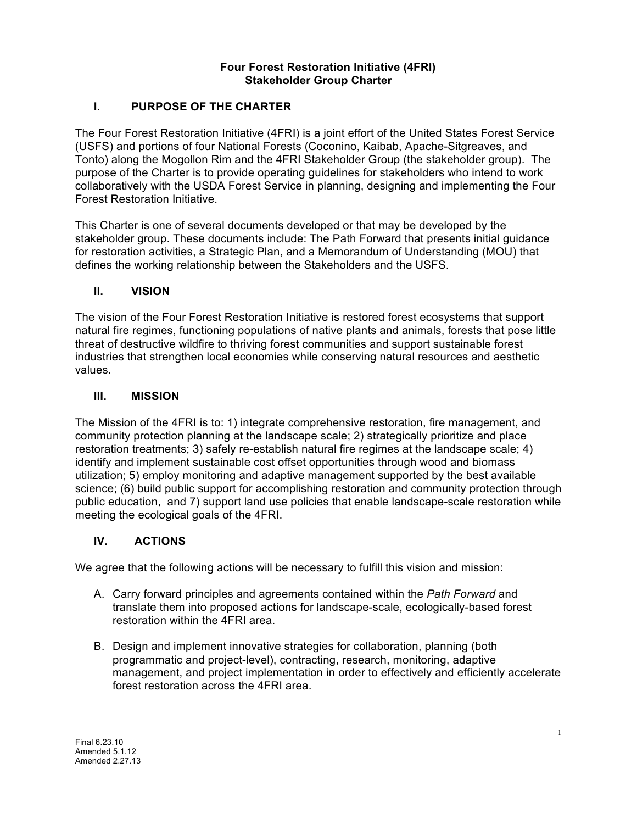## **Four Forest Restoration Initiative (4FRI) Stakeholder Group Charter**

## **I. PURPOSE OF THE CHARTER**

The Four Forest Restoration Initiative (4FRI) is a joint effort of the United States Forest Service (USFS) and portions of four National Forests (Coconino, Kaibab, Apache-Sitgreaves, and Tonto) along the Mogollon Rim and the 4FRI Stakeholder Group (the stakeholder group). The purpose of the Charter is to provide operating guidelines for stakeholders who intend to work collaboratively with the USDA Forest Service in planning, designing and implementing the Four Forest Restoration Initiative.

This Charter is one of several documents developed or that may be developed by the stakeholder group. These documents include: The Path Forward that presents initial guidance for restoration activities, a Strategic Plan, and a Memorandum of Understanding (MOU) that defines the working relationship between the Stakeholders and the USFS.

## **II. VISION**

The vision of the Four Forest Restoration Initiative is restored forest ecosystems that support natural fire regimes, functioning populations of native plants and animals, forests that pose little threat of destructive wildfire to thriving forest communities and support sustainable forest industries that strengthen local economies while conserving natural resources and aesthetic values.

## **III. MISSION**

The Mission of the 4FRI is to: 1) integrate comprehensive restoration, fire management, and community protection planning at the landscape scale; 2) strategically prioritize and place restoration treatments; 3) safely re-establish natural fire regimes at the landscape scale; 4) identify and implement sustainable cost offset opportunities through wood and biomass utilization; 5) employ monitoring and adaptive management supported by the best available science; (6) build public support for accomplishing restoration and community protection through public education, and 7) support land use policies that enable landscape-scale restoration while meeting the ecological goals of the 4FRI.

## **IV. ACTIONS**

We agree that the following actions will be necessary to fulfill this vision and mission:

- A. Carry forward principles and agreements contained within the *Path Forward* and translate them into proposed actions for landscape-scale, ecologically-based forest restoration within the 4FRI area.
- B. Design and implement innovative strategies for collaboration, planning (both programmatic and project-level), contracting, research, monitoring, adaptive management, and project implementation in order to effectively and efficiently accelerate forest restoration across the 4FRI area.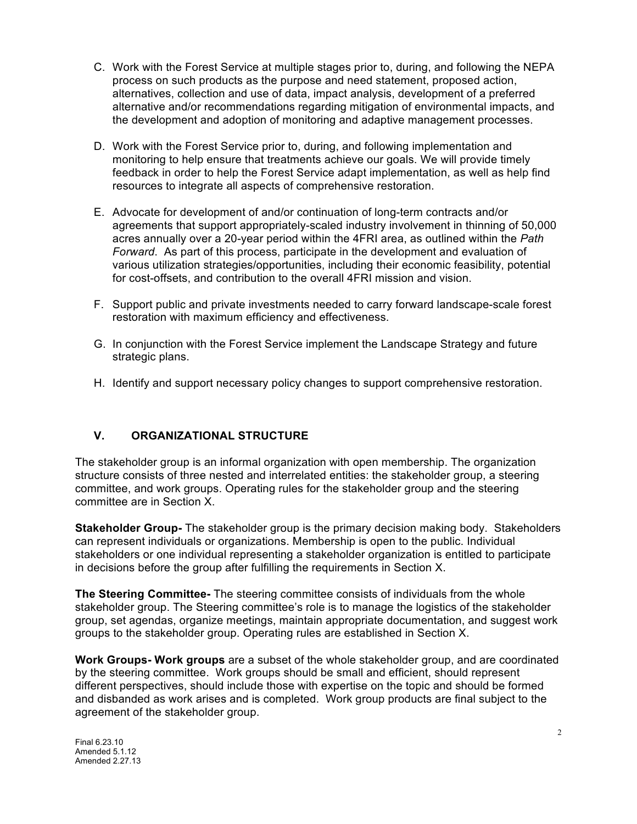- C. Work with the Forest Service at multiple stages prior to, during, and following the NEPA process on such products as the purpose and need statement, proposed action, alternatives, collection and use of data, impact analysis, development of a preferred alternative and/or recommendations regarding mitigation of environmental impacts, and the development and adoption of monitoring and adaptive management processes.
- D. Work with the Forest Service prior to, during, and following implementation and monitoring to help ensure that treatments achieve our goals. We will provide timely feedback in order to help the Forest Service adapt implementation, as well as help find resources to integrate all aspects of comprehensive restoration.
- E. Advocate for development of and/or continuation of long-term contracts and/or agreements that support appropriately-scaled industry involvement in thinning of 50,000 acres annually over a 20-year period within the 4FRI area, as outlined within the *Path Forward*. As part of this process, participate in the development and evaluation of various utilization strategies/opportunities, including their economic feasibility, potential for cost-offsets, and contribution to the overall 4FRI mission and vision.
- F. Support public and private investments needed to carry forward landscape-scale forest restoration with maximum efficiency and effectiveness.
- G. In conjunction with the Forest Service implement the Landscape Strategy and future strategic plans.
- H. Identify and support necessary policy changes to support comprehensive restoration.

## **V. ORGANIZATIONAL STRUCTURE**

The stakeholder group is an informal organization with open membership. The organization structure consists of three nested and interrelated entities: the stakeholder group, a steering committee, and work groups. Operating rules for the stakeholder group and the steering committee are in Section X.

**Stakeholder Group-** The stakeholder group is the primary decision making body. Stakeholders can represent individuals or organizations. Membership is open to the public. Individual stakeholders or one individual representing a stakeholder organization is entitled to participate in decisions before the group after fulfilling the requirements in Section X.

**The Steering Committee-** The steering committee consists of individuals from the whole stakeholder group. The Steering committee's role is to manage the logistics of the stakeholder group, set agendas, organize meetings, maintain appropriate documentation, and suggest work groups to the stakeholder group. Operating rules are established in Section X.

**Work Groups- Work groups** are a subset of the whole stakeholder group, and are coordinated by the steering committee. Work groups should be small and efficient, should represent different perspectives, should include those with expertise on the topic and should be formed and disbanded as work arises and is completed. Work group products are final subject to the agreement of the stakeholder group.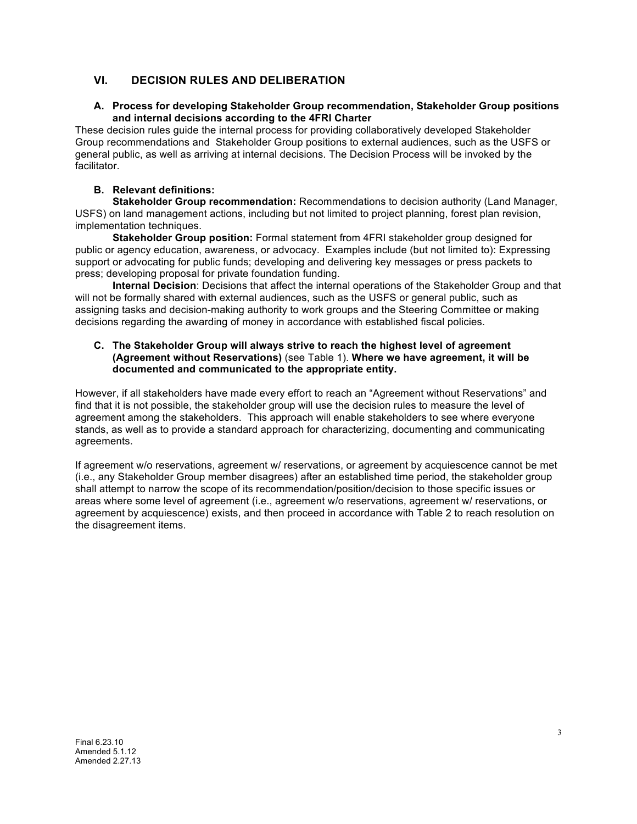# **VI. DECISION RULES AND DELIBERATION**

#### **A. Process for developing Stakeholder Group recommendation, Stakeholder Group positions and internal decisions according to the 4FRI Charter**

These decision rules guide the internal process for providing collaboratively developed Stakeholder Group recommendations and Stakeholder Group positions to external audiences, such as the USFS or general public, as well as arriving at internal decisions. The Decision Process will be invoked by the facilitator.

#### **B. Relevant definitions:**

**Stakeholder Group recommendation:** Recommendations to decision authority (Land Manager, USFS) on land management actions, including but not limited to project planning, forest plan revision, implementation techniques.

**Stakeholder Group position:** Formal statement from 4FRI stakeholder group designed for public or agency education, awareness, or advocacy. Examples include (but not limited to): Expressing support or advocating for public funds; developing and delivering key messages or press packets to press; developing proposal for private foundation funding.

**Internal Decision**: Decisions that affect the internal operations of the Stakeholder Group and that will not be formally shared with external audiences, such as the USFS or general public, such as assigning tasks and decision-making authority to work groups and the Steering Committee or making decisions regarding the awarding of money in accordance with established fiscal policies.

#### **C. The Stakeholder Group will always strive to reach the highest level of agreement (Agreement without Reservations)** (see Table 1). **Where we have agreement, it will be documented and communicated to the appropriate entity.**

However, if all stakeholders have made every effort to reach an "Agreement without Reservations" and find that it is not possible, the stakeholder group will use the decision rules to measure the level of agreement among the stakeholders. This approach will enable stakeholders to see where everyone stands, as well as to provide a standard approach for characterizing, documenting and communicating agreements.

If agreement w/o reservations, agreement w/ reservations, or agreement by acquiescence cannot be met (i.e., any Stakeholder Group member disagrees) after an established time period, the stakeholder group shall attempt to narrow the scope of its recommendation/position/decision to those specific issues or areas where some level of agreement (i.e., agreement w/o reservations, agreement w/ reservations, or agreement by acquiescence) exists, and then proceed in accordance with Table 2 to reach resolution on the disagreement items.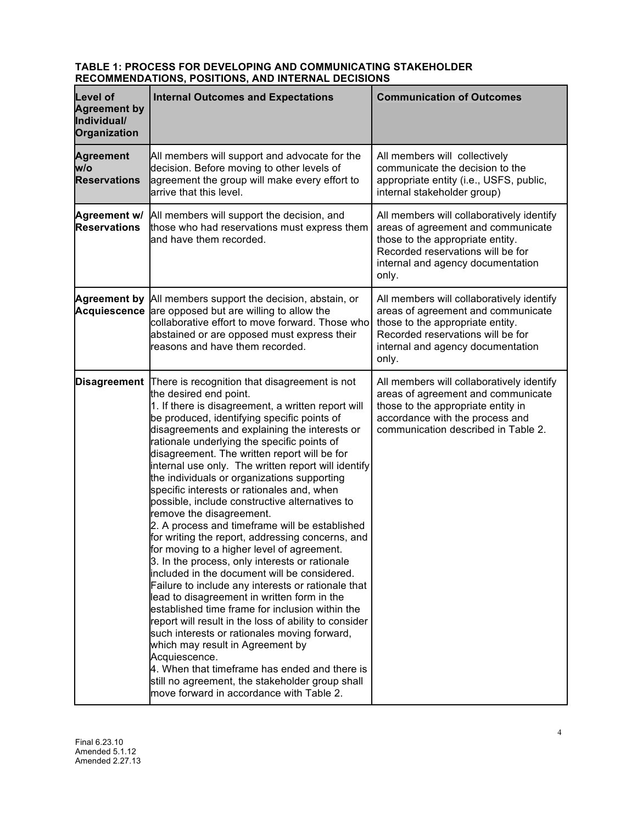#### **TABLE 1: PROCESS FOR DEVELOPING AND COMMUNICATING STAKEHOLDER RECOMMENDATIONS, POSITIONS, AND INTERNAL DECISIONS**

| <b>Level of</b><br><b>Agreement by</b><br>Individual/<br>Organization | <b>Internal Outcomes and Expectations</b>                                                                                                                                                                                                                                                                                                                                                                                                                                                                                                                                                                                                                                                                                                                                                                                                                                                                                                                                                                                                                                                                                                                                                                                                                                                                      | <b>Communication of Outcomes</b>                                                                                                                                                                       |  |
|-----------------------------------------------------------------------|----------------------------------------------------------------------------------------------------------------------------------------------------------------------------------------------------------------------------------------------------------------------------------------------------------------------------------------------------------------------------------------------------------------------------------------------------------------------------------------------------------------------------------------------------------------------------------------------------------------------------------------------------------------------------------------------------------------------------------------------------------------------------------------------------------------------------------------------------------------------------------------------------------------------------------------------------------------------------------------------------------------------------------------------------------------------------------------------------------------------------------------------------------------------------------------------------------------------------------------------------------------------------------------------------------------|--------------------------------------------------------------------------------------------------------------------------------------------------------------------------------------------------------|--|
| <b>Agreement</b><br>w/o<br><b>Reservations</b>                        | All members will support and advocate for the<br>decision. Before moving to other levels of<br>agreement the group will make every effort to<br>arrive that this level.                                                                                                                                                                                                                                                                                                                                                                                                                                                                                                                                                                                                                                                                                                                                                                                                                                                                                                                                                                                                                                                                                                                                        | All members will collectively<br>communicate the decision to the<br>appropriate entity (i.e., USFS, public,<br>internal stakeholder group)                                                             |  |
| Agreement w/<br><b>Reservations</b>                                   | All members will support the decision, and<br>those who had reservations must express them<br>and have them recorded.                                                                                                                                                                                                                                                                                                                                                                                                                                                                                                                                                                                                                                                                                                                                                                                                                                                                                                                                                                                                                                                                                                                                                                                          | All members will collaboratively identify<br>areas of agreement and communicate<br>those to the appropriate entity.<br>Recorded reservations will be for<br>internal and agency documentation<br>only. |  |
|                                                                       | Agreement by All members support the decision, abstain, or<br>Acquiescence are opposed but are willing to allow the<br>collaborative effort to move forward. Those who<br>abstained or are opposed must express their<br>reasons and have them recorded.                                                                                                                                                                                                                                                                                                                                                                                                                                                                                                                                                                                                                                                                                                                                                                                                                                                                                                                                                                                                                                                       | All members will collaboratively identify<br>areas of agreement and communicate<br>those to the appropriate entity.<br>Recorded reservations will be for<br>internal and agency documentation<br>only. |  |
|                                                                       | <b>Disagreement</b> There is recognition that disagreement is not<br>the desired end point.<br>1. If there is disagreement, a written report will<br>be produced, identifying specific points of<br>disagreements and explaining the interests or<br>rationale underlying the specific points of<br>disagreement. The written report will be for<br>internal use only. The written report will identify<br>the individuals or organizations supporting<br>specific interests or rationales and, when<br>possible, include constructive alternatives to<br>remove the disagreement.<br>2. A process and timeframe will be established<br>for writing the report, addressing concerns, and<br>for moving to a higher level of agreement.<br>3. In the process, only interests or rationale<br>included in the document will be considered.<br>Failure to include any interests or rationale that<br>lead to disagreement in written form in the<br>established time frame for inclusion within the<br>report will result in the loss of ability to consider<br>such interests or rationales moving forward,<br>which may result in Agreement by<br>Acquiescence.<br>4. When that timeframe has ended and there is<br>still no agreement, the stakeholder group shall<br>move forward in accordance with Table 2. | All members will collaboratively identify<br>areas of agreement and communicate<br>those to the appropriate entity in<br>accordance with the process and<br>communication described in Table 2.        |  |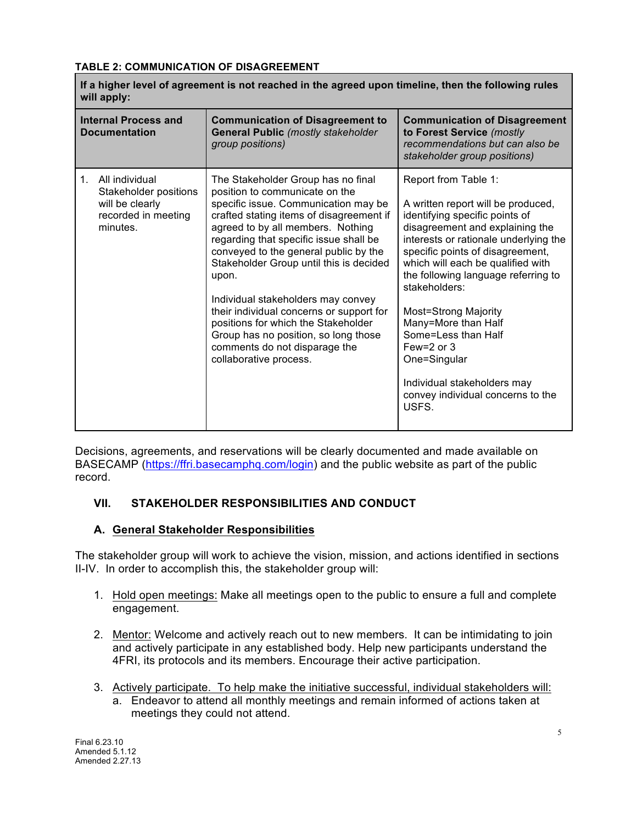## **TABLE 2: COMMUNICATION OF DISAGREEMENT**

| If a higher level of agreement is not reached in the agreed upon timeline, then the following rules<br>will apply: |                                                                                               |                                                                                                                                                                                                                                                                                                                                                                                                                                                                                                                                                                  |                                                                                                                                                                                                                                                                                                                                                                                                                                                                                                        |  |
|--------------------------------------------------------------------------------------------------------------------|-----------------------------------------------------------------------------------------------|------------------------------------------------------------------------------------------------------------------------------------------------------------------------------------------------------------------------------------------------------------------------------------------------------------------------------------------------------------------------------------------------------------------------------------------------------------------------------------------------------------------------------------------------------------------|--------------------------------------------------------------------------------------------------------------------------------------------------------------------------------------------------------------------------------------------------------------------------------------------------------------------------------------------------------------------------------------------------------------------------------------------------------------------------------------------------------|--|
| <b>Internal Process and</b><br><b>Documentation</b>                                                                |                                                                                               | <b>Communication of Disagreement to</b><br><b>General Public (mostly stakeholder</b><br>group positions)                                                                                                                                                                                                                                                                                                                                                                                                                                                         | <b>Communication of Disagreement</b><br>to Forest Service (mostly<br>recommendations but can also be<br>stakeholder group positions)                                                                                                                                                                                                                                                                                                                                                                   |  |
| $1_{-}$                                                                                                            | All individual<br>Stakeholder positions<br>will be clearly<br>recorded in meeting<br>minutes. | The Stakeholder Group has no final<br>position to communicate on the<br>specific issue. Communication may be<br>crafted stating items of disagreement if<br>agreed to by all members. Nothing<br>regarding that specific issue shall be<br>conveyed to the general public by the<br>Stakeholder Group until this is decided<br>upon.<br>Individual stakeholders may convey<br>their individual concerns or support for<br>positions for which the Stakeholder<br>Group has no position, so long those<br>comments do not disparage the<br>collaborative process. | Report from Table 1:<br>A written report will be produced,<br>identifying specific points of<br>disagreement and explaining the<br>interests or rationale underlying the<br>specific points of disagreement,<br>which will each be qualified with<br>the following language referring to<br>stakeholders:<br><b>Most=Strong Majority</b><br>Many=More than Half<br>Some=Less than Half<br>Few= $2$ or $3$<br>One=Singular<br>Individual stakeholders may<br>convey individual concerns to the<br>USFS. |  |

Decisions, agreements, and reservations will be clearly documented and made available on BASECAMP (https://ffri.basecamphq.com/login) and the public website as part of the public record.

# **VII. STAKEHOLDER RESPONSIBILITIES AND CONDUCT**

# **A. General Stakeholder Responsibilities**

The stakeholder group will work to achieve the vision, mission, and actions identified in sections II-IV. In order to accomplish this, the stakeholder group will:

- 1. Hold open meetings: Make all meetings open to the public to ensure a full and complete engagement.
- 2. Mentor: Welcome and actively reach out to new members. It can be intimidating to join and actively participate in any established body. Help new participants understand the 4FRI, its protocols and its members. Encourage their active participation.
- 3. Actively participate. To help make the initiative successful, individual stakeholders will:
	- a. Endeavor to attend all monthly meetings and remain informed of actions taken at meetings they could not attend.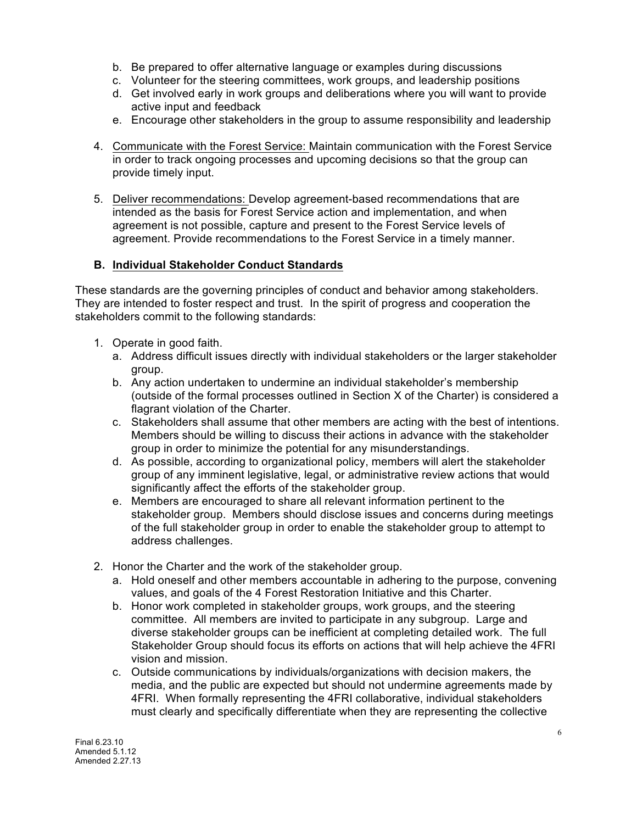- b. Be prepared to offer alternative language or examples during discussions
- c. Volunteer for the steering committees, work groups, and leadership positions
- d. Get involved early in work groups and deliberations where you will want to provide active input and feedback
- e. Encourage other stakeholders in the group to assume responsibility and leadership
- 4. Communicate with the Forest Service: Maintain communication with the Forest Service in order to track ongoing processes and upcoming decisions so that the group can provide timely input.
- 5. Deliver recommendations: Develop agreement-based recommendations that are intended as the basis for Forest Service action and implementation, and when agreement is not possible, capture and present to the Forest Service levels of agreement. Provide recommendations to the Forest Service in a timely manner.

#### **B. Individual Stakeholder Conduct Standards**

These standards are the governing principles of conduct and behavior among stakeholders. They are intended to foster respect and trust. In the spirit of progress and cooperation the stakeholders commit to the following standards:

- 1. Operate in good faith.
	- a. Address difficult issues directly with individual stakeholders or the larger stakeholder group.
	- b. Any action undertaken to undermine an individual stakeholder's membership (outside of the formal processes outlined in Section X of the Charter) is considered a flagrant violation of the Charter.
	- c. Stakeholders shall assume that other members are acting with the best of intentions. Members should be willing to discuss their actions in advance with the stakeholder group in order to minimize the potential for any misunderstandings.
	- d. As possible, according to organizational policy, members will alert the stakeholder group of any imminent legislative, legal, or administrative review actions that would significantly affect the efforts of the stakeholder group.
	- e. Members are encouraged to share all relevant information pertinent to the stakeholder group. Members should disclose issues and concerns during meetings of the full stakeholder group in order to enable the stakeholder group to attempt to address challenges.
- 2. Honor the Charter and the work of the stakeholder group.
	- a. Hold oneself and other members accountable in adhering to the purpose, convening values, and goals of the 4 Forest Restoration Initiative and this Charter.
	- b. Honor work completed in stakeholder groups, work groups, and the steering committee. All members are invited to participate in any subgroup. Large and diverse stakeholder groups can be inefficient at completing detailed work. The full Stakeholder Group should focus its efforts on actions that will help achieve the 4FRI vision and mission.
	- c. Outside communications by individuals/organizations with decision makers, the media, and the public are expected but should not undermine agreements made by 4FRI. When formally representing the 4FRI collaborative, individual stakeholders must clearly and specifically differentiate when they are representing the collective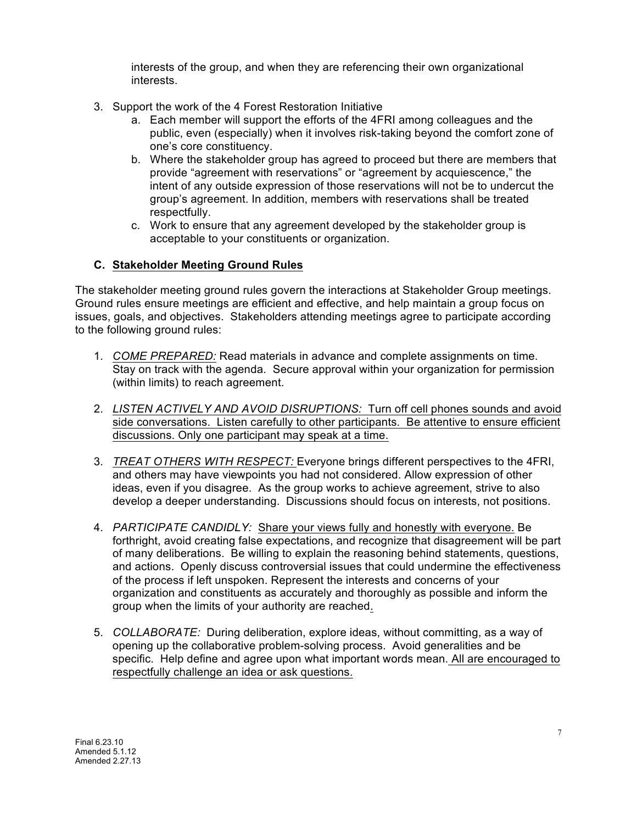interests of the group, and when they are referencing their own organizational interests.

- 3. Support the work of the 4 Forest Restoration Initiative
	- a. Each member will support the efforts of the 4FRI among colleagues and the public, even (especially) when it involves risk-taking beyond the comfort zone of one's core constituency.
	- b. Where the stakeholder group has agreed to proceed but there are members that provide "agreement with reservations" or "agreement by acquiescence," the intent of any outside expression of those reservations will not be to undercut the group's agreement. In addition, members with reservations shall be treated respectfully.
	- c. Work to ensure that any agreement developed by the stakeholder group is acceptable to your constituents or organization.

## **C. Stakeholder Meeting Ground Rules**

The stakeholder meeting ground rules govern the interactions at Stakeholder Group meetings. Ground rules ensure meetings are efficient and effective, and help maintain a group focus on issues, goals, and objectives. Stakeholders attending meetings agree to participate according to the following ground rules:

- 1. *COME PREPARED:* Read materials in advance and complete assignments on time. Stay on track with the agenda. Secure approval within your organization for permission (within limits) to reach agreement.
- 2. *LISTEN ACTIVELY AND AVOID DISRUPTIONS:* Turn off cell phones sounds and avoid side conversations. Listen carefully to other participants. Be attentive to ensure efficient discussions. Only one participant may speak at a time.
- 3. *TREAT OTHERS WITH RESPECT:* Everyone brings different perspectives to the 4FRI, and others may have viewpoints you had not considered. Allow expression of other ideas, even if you disagree. As the group works to achieve agreement, strive to also develop a deeper understanding. Discussions should focus on interests, not positions.
- 4. *PARTICIPATE CANDIDLY:* Share your views fully and honestly with everyone. Be forthright, avoid creating false expectations, and recognize that disagreement will be part of many deliberations. Be willing to explain the reasoning behind statements, questions, and actions. Openly discuss controversial issues that could undermine the effectiveness of the process if left unspoken. Represent the interests and concerns of your organization and constituents as accurately and thoroughly as possible and inform the group when the limits of your authority are reached.
- 5. *COLLABORATE:* During deliberation, explore ideas, without committing, as a way of opening up the collaborative problem-solving process. Avoid generalities and be specific. Help define and agree upon what important words mean. All are encouraged to respectfully challenge an idea or ask questions.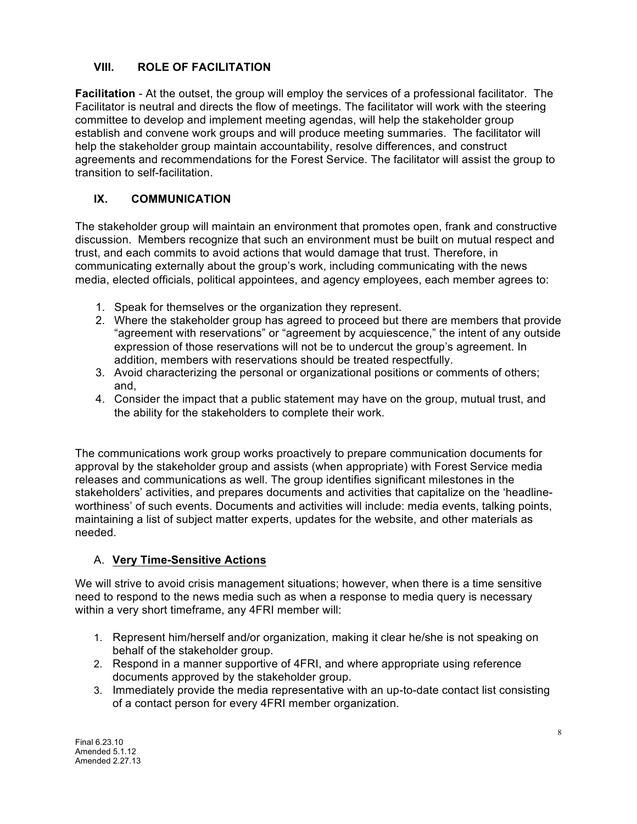## **VIII. ROLE OF FACILITATION**

**Facilitation** - At the outset, the group will employ the services of a professional facilitator. The Facilitator is neutral and directs the flow of meetings. The facilitator will work with the steering committee to develop and implement meeting agendas, will help the stakeholder group establish and convene work groups and will produce meeting summaries.The facilitator will help the stakeholder group maintain accountability, resolve differences, and construct agreements and recommendations for the Forest Service. The facilitator will assist the group to transition to self-facilitation.

# **IX. COMMUNICATION**

The stakeholder group will maintain an environment that promotes open, frank and constructive discussion. Members recognize that such an environment must be built on mutual respect and trust, and each commits to avoid actions that would damage that trust. Therefore, in communicating externally about the group's work, including communicating with the news media, elected officials, political appointees, and agency employees, each member agrees to:

- 1. Speak for themselves or the organization they represent.
- 2. Where the stakeholder group has agreed to proceed but there are members that provide "agreement with reservations" or "agreement by acquiescence," the intent of any outside expression of those reservations will not be to undercut the group's agreement. In addition, members with reservations should be treated respectfully.
- 3. Avoid characterizing the personal or organizational positions or comments of others; and,
- 4. Consider the impact that a public statement may have on the group, mutual trust, and the ability for the stakeholders to complete their work.

The communications work group works proactively to prepare communication documents for approval by the stakeholder group and assists (when appropriate) with Forest Service media releases and communications as well. The group identifies significant milestones in the stakeholders' activities, and prepares documents and activities that capitalize on the 'headlineworthiness' of such events. Documents and activities will include: media events, talking points, maintaining a list of subject matter experts, updates for the website, and other materials as needed.

## A. **Very Time-Sensitive Actions**

We will strive to avoid crisis management situations; however, when there is a time sensitive need to respond to the news media such as when a response to media query is necessary within a very short timeframe, any 4FRI member will:

- 1. Represent him/herself and/or organization, making it clear he/she is not speaking on behalf of the stakeholder group.
- 2. Respond in a manner supportive of 4FRI, and where appropriate using reference documents approved by the stakeholder group.
- 3. Immediately provide the media representative with an up-to-date contact list consisting of a contact person for every 4FRI member organization.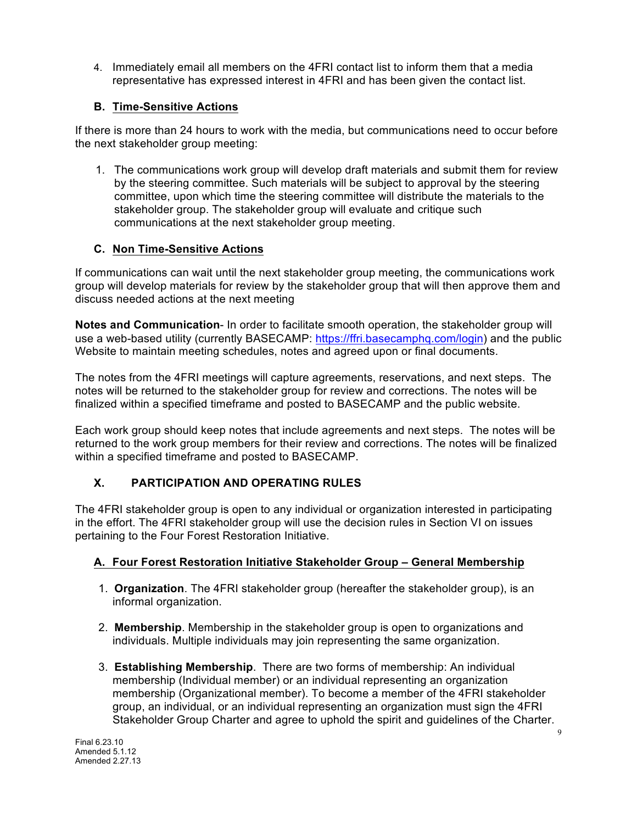4. Immediately email all members on the 4FRI contact list to inform them that a media representative has expressed interest in 4FRI and has been given the contact list.

# **B. Time-Sensitive Actions**

If there is more than 24 hours to work with the media, but communications need to occur before the next stakeholder group meeting:

1. The communications work group will develop draft materials and submit them for review by the steering committee. Such materials will be subject to approval by the steering committee, upon which time the steering committee will distribute the materials to the stakeholder group. The stakeholder group will evaluate and critique such communications at the next stakeholder group meeting.

# **C. Non Time-Sensitive Actions**

If communications can wait until the next stakeholder group meeting, the communications work group will develop materials for review by the stakeholder group that will then approve them and discuss needed actions at the next meeting

**Notes and Communication**- In order to facilitate smooth operation, the stakeholder group will use a web-based utility (currently BASECAMP: https://ffri.basecamphq.com/login) and the public Website to maintain meeting schedules, notes and agreed upon or final documents.

The notes from the 4FRI meetings will capture agreements, reservations, and next steps. The notes will be returned to the stakeholder group for review and corrections. The notes will be finalized within a specified timeframe and posted to BASECAMP and the public website.

Each work group should keep notes that include agreements and next steps. The notes will be returned to the work group members for their review and corrections. The notes will be finalized within a specified timeframe and posted to BASECAMP.

# **X. PARTICIPATION AND OPERATING RULES**

The 4FRI stakeholder group is open to any individual or organization interested in participating in the effort. The 4FRI stakeholder group will use the decision rules in Section VI on issues pertaining to the Four Forest Restoration Initiative.

# **A. Four Forest Restoration Initiative Stakeholder Group – General Membership**

- 1. **Organization**. The 4FRI stakeholder group (hereafter the stakeholder group), is an informal organization.
- 2. **Membership**. Membership in the stakeholder group is open to organizations and individuals. Multiple individuals may join representing the same organization.
- 3. **Establishing Membership**. There are two forms of membership: An individual membership (Individual member) or an individual representing an organization membership (Organizational member). To become a member of the 4FRI stakeholder group, an individual, or an individual representing an organization must sign the 4FRI Stakeholder Group Charter and agree to uphold the spirit and guidelines of the Charter.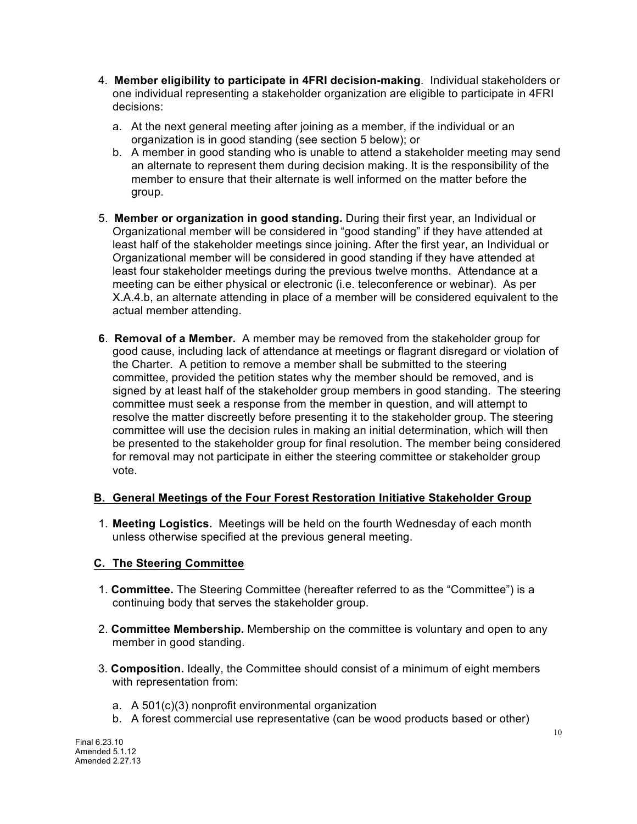- 4. **Member eligibility to participate in 4FRI decision-making**.Individual stakeholders or one individual representing a stakeholder organization are eligible to participate in 4FRI decisions:
	- a. At the next general meeting after joining as a member, if the individual or an organization is in good standing (see section 5 below); or
	- b. A member in good standing who is unable to attend a stakeholder meeting may send an alternate to represent them during decision making. It is the responsibility of the member to ensure that their alternate is well informed on the matter before the group.
- 5. **Member or organization in good standing.** During their first year, an Individual or Organizational member will be considered in "good standing" if they have attended at least half of the stakeholder meetings since joining. After the first year, an Individual or Organizational member will be considered in good standing if they have attended at least four stakeholder meetings during the previous twelve months. Attendance at a meeting can be either physical or electronic (i.e. teleconference or webinar). As per X.A.4.b, an alternate attending in place of a member will be considered equivalent to the actual member attending.
- **6**. **Removal of a Member.** A member may be removed from the stakeholder group for good cause, including lack of attendance at meetings or flagrant disregard or violation of the Charter. A petition to remove a member shall be submitted to the steering committee, provided the petition states why the member should be removed, and is signed by at least half of the stakeholder group members in good standing. The steering committee must seek a response from the member in question, and will attempt to resolve the matter discreetly before presenting it to the stakeholder group. The steering committee will use the decision rules in making an initial determination, which will then be presented to the stakeholder group for final resolution. The member being considered for removal may not participate in either the steering committee or stakeholder group vote.

## **B. General Meetings of the Four Forest Restoration Initiative Stakeholder Group**

1. **Meeting Logistics.** Meetings will be held on the fourth Wednesday of each month unless otherwise specified at the previous general meeting.

# **C. The Steering Committee**

- 1. **Committee.** The Steering Committee (hereafter referred to as the "Committee") is a continuing body that serves the stakeholder group.
- 2. **Committee Membership.** Membership on the committee is voluntary and open to any member in good standing.
- 3. **Composition.** Ideally, the Committee should consist of a minimum of eight members with representation from:
	- a. A 501(c)(3) nonprofit environmental organization
	- b. A forest commercial use representative (can be wood products based or other)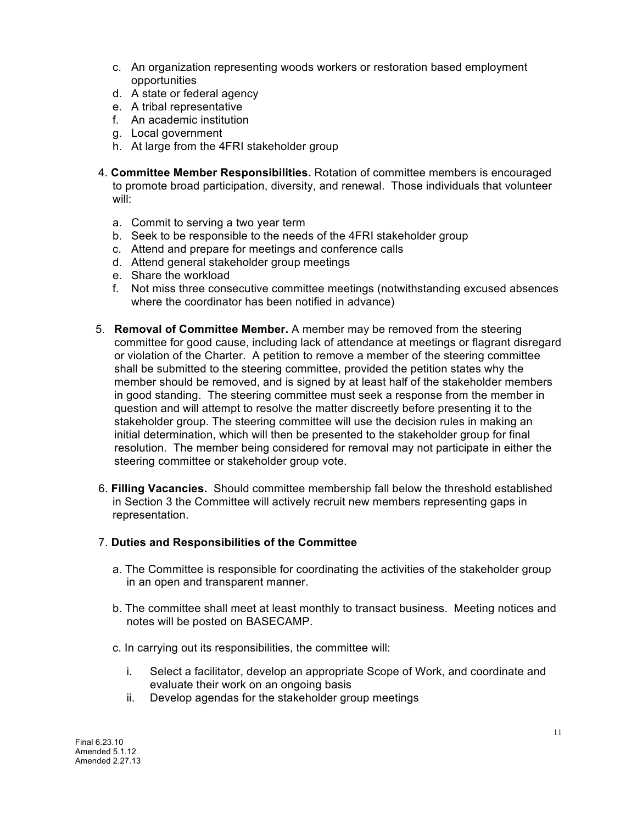- c. An organization representing woods workers or restoration based employment opportunities
- d. A state or federal agency
- e. A tribal representative
- f. An academic institution
- g. Local government
- h. At large from the 4FRI stakeholder group
- 4. **Committee Member Responsibilities.** Rotation of committee members is encouraged to promote broad participation, diversity, and renewal. Those individuals that volunteer will:
	- a. Commit to serving a two year term
	- b. Seek to be responsible to the needs of the 4FRI stakeholder group
	- c. Attend and prepare for meetings and conference calls
	- d. Attend general stakeholder group meetings
	- e. Share the workload
	- f. Not miss three consecutive committee meetings (notwithstanding excused absences where the coordinator has been notified in advance)
- 5. **Removal of Committee Member.** A member may be removed from the steering committee for good cause, including lack of attendance at meetings or flagrant disregard or violation of the Charter. A petition to remove a member of the steering committee shall be submitted to the steering committee, provided the petition states why the member should be removed, and is signed by at least half of the stakeholder members in good standing. The steering committee must seek a response from the member in question and will attempt to resolve the matter discreetly before presenting it to the stakeholder group. The steering committee will use the decision rules in making an initial determination, which will then be presented to the stakeholder group for final resolution. The member being considered for removal may not participate in either the steering committee or stakeholder group vote.
- 6. **Filling Vacancies.** Should committee membership fall below the threshold established in Section 3 the Committee will actively recruit new members representing gaps in representation.

#### 7. **Duties and Responsibilities of the Committee**

- a. The Committee is responsible for coordinating the activities of the stakeholder group in an open and transparent manner.
- b. The committee shall meet at least monthly to transact business. Meeting notices and notes will be posted on BASECAMP.
- c. In carrying out its responsibilities, the committee will:
	- i. Select a facilitator, develop an appropriate Scope of Work, and coordinate and evaluate their work on an ongoing basis
	- ii. Develop agendas for the stakeholder group meetings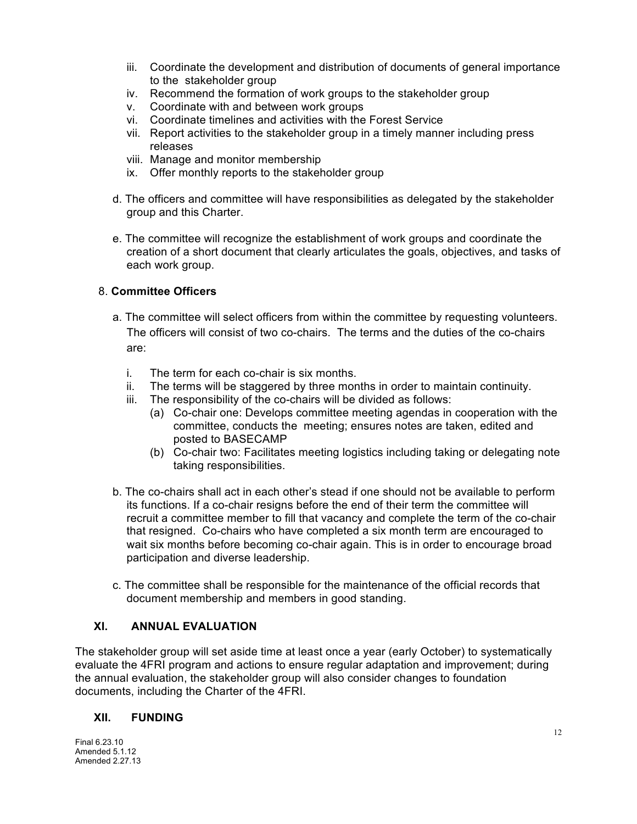- iii. Coordinate the development and distribution of documents of general importance to the stakeholder group
- iv. Recommend the formation of work groups to the stakeholder group
- v. Coordinate with and between work groups
- vi. Coordinate timelines and activities with the Forest Service
- vii. Report activities to the stakeholder group in a timely manner including press releases
- viii. Manage and monitor membership
- ix. Offer monthly reports to the stakeholder group
- d. The officers and committee will have responsibilities as delegated by the stakeholder group and this Charter.
- e. The committee will recognize the establishment of work groups and coordinate the creation of a short document that clearly articulates the goals, objectives, and tasks of each work group.

## 8. **Committee Officers**

- a. The committee will select officers from within the committee by requesting volunteers. The officers will consist of two co-chairs. The terms and the duties of the co-chairs are:
	- i. The term for each co-chair is six months.
	- ii. The terms will be staggered by three months in order to maintain continuity.
	- iii. The responsibility of the co-chairs will be divided as follows:
		- (a) Co-chair one: Develops committee meeting agendas in cooperation with the committee, conducts the meeting; ensures notes are taken, edited and posted to BASECAMP
		- (b) Co-chair two: Facilitates meeting logistics including taking or delegating note taking responsibilities.
- b. The co-chairs shall act in each other's stead if one should not be available to perform its functions. If a co-chair resigns before the end of their term the committee will recruit a committee member to fill that vacancy and complete the term of the co-chair that resigned. Co-chairs who have completed a six month term are encouraged to wait six months before becoming co-chair again. This is in order to encourage broad participation and diverse leadership.
- c. The committee shall be responsible for the maintenance of the official records that document membership and members in good standing.

# **XI. ANNUAL EVALUATION**

The stakeholder group will set aside time at least once a year (early October) to systematically evaluate the 4FRI program and actions to ensure regular adaptation and improvement; during the annual evaluation, the stakeholder group will also consider changes to foundation documents, including the Charter of the 4FRI.

## **XII. FUNDING**

Final 6.23.10 Amended 5.1.12 Amended 2.27.13